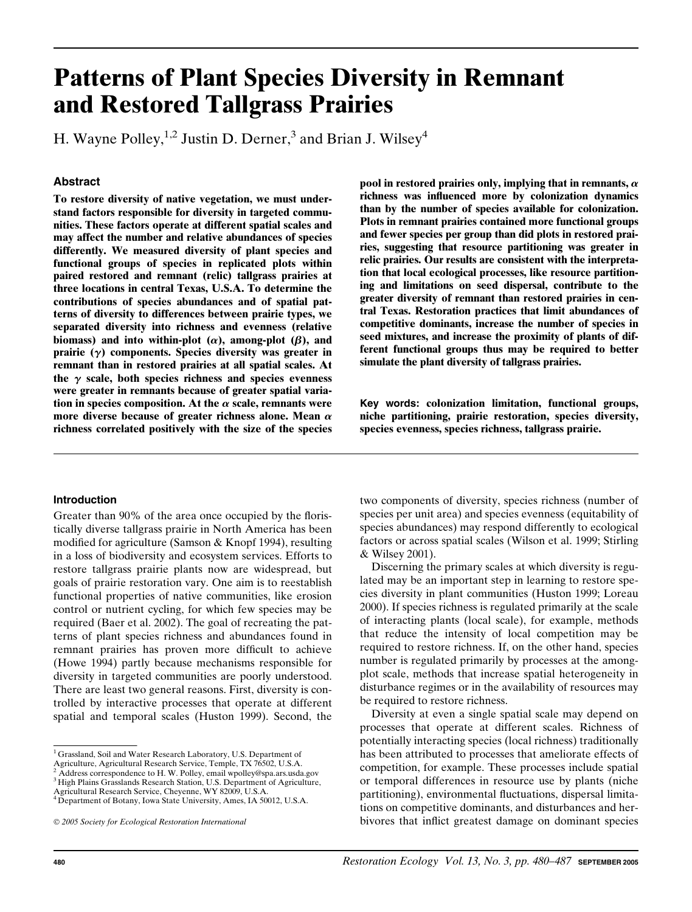# Patterns of Plant Species Diversity in Remnant and Restored Tallgrass Prairies

H. Wayne Polley,<sup>1,2</sup> Justin D. Derner,<sup>3</sup> and Brian J. Wilsey<sup>4</sup>

# Abstract

To restore diversity of native vegetation, we must understand factors responsible for diversity in targeted communities. These factors operate at different spatial scales and may affect the number and relative abundances of species differently. We measured diversity of plant species and functional groups of species in replicated plots within paired restored and remnant (relic) tallgrass prairies at three locations in central Texas, U.S.A. To determine the contributions of species abundances and of spatial patterns of diversity to differences between prairie types, we separated diversity into richness and evenness (relative biomass) and into within-plot  $(\alpha)$ , among-plot  $(\beta)$ , and prairie  $(y)$  components. Species diversity was greater in remnant than in restored prairies at all spatial scales. At the  $\gamma$  scale, both species richness and species evenness were greater in remnants because of greater spatial variation in species composition. At the  $\alpha$  scale, remnants were more diverse because of greater richness alone. Mean  $\alpha$ richness correlated positively with the size of the species

## Introduction

Greater than 90% of the area once occupied by the floristically diverse tallgrass prairie in North America has been modified for agriculture (Samson & Knopf 1994), resulting in a loss of biodiversity and ecosystem services. Efforts to restore tallgrass prairie plants now are widespread, but goals of prairie restoration vary. One aim is to reestablish functional properties of native communities, like erosion control or nutrient cycling, for which few species may be required (Baer et al. 2002). The goal of recreating the patterns of plant species richness and abundances found in remnant prairies has proven more difficult to achieve (Howe 1994) partly because mechanisms responsible for diversity in targeted communities are poorly understood. There are least two general reasons. First, diversity is controlled by interactive processes that operate at different spatial and temporal scales (Huston 1999). Second, the

Agriculture, Agricultural Research Service, Temple, TX 76502, U.S.A. <sup>2</sup> Address correspondence to H. W. Polley, email wpolley@spa.ars.usda.gov <sup>3</sup> High Plains Grasslands Research Station, U.S. Department of Agriculture, pool in restored prairies only, implying that in remnants,  $\alpha$ richness was influenced more by colonization dynamics than by the number of species available for colonization. Plots in remnant prairies contained more functional groups and fewer species per group than did plots in restored prairies, suggesting that resource partitioning was greater in relic prairies. Our results are consistent with the interpretation that local ecological processes, like resource partitioning and limitations on seed dispersal, contribute to the greater diversity of remnant than restored prairies in central Texas. Restoration practices that limit abundances of competitive dominants, increase the number of species in seed mixtures, and increase the proximity of plants of different functional groups thus may be required to better simulate the plant diversity of tallgrass prairies.

Key words: colonization limitation, functional groups, niche partitioning, prairie restoration, species diversity, species evenness, species richness, tallgrass prairie.

two components of diversity, species richness (number of species per unit area) and species evenness (equitability of species abundances) may respond differently to ecological factors or across spatial scales (Wilson et al. 1999; Stirling & Wilsey 2001).

Discerning the primary scales at which diversity is regulated may be an important step in learning to restore species diversity in plant communities (Huston 1999; Loreau 2000). If species richness is regulated primarily at the scale of interacting plants (local scale), for example, methods that reduce the intensity of local competition may be required to restore richness. If, on the other hand, species number is regulated primarily by processes at the amongplot scale, methods that increase spatial heterogeneity in disturbance regimes or in the availability of resources may be required to restore richness.

Diversity at even a single spatial scale may depend on processes that operate at different scales. Richness of potentially interacting species (local richness) traditionally has been attributed to processes that ameliorate effects of competition, for example. These processes include spatial or temporal differences in resource use by plants (niche partitioning), environmental fluctuations, dispersal limitations on competitive dominants, and disturbances and herbivores that inflict greatest damage on dominant species

<sup>&</sup>lt;sup>1</sup> Grassland, Soil and Water Research Laboratory, U.S. Department of

Agricultural Research Service, Cheyenne, WY 82009, U.S.A.

<sup>&</sup>lt;sup>4</sup> Department of Botany, Iowa State University, Ames, IA 50012, U.S.A.

2005 Society for Ecological Restoration International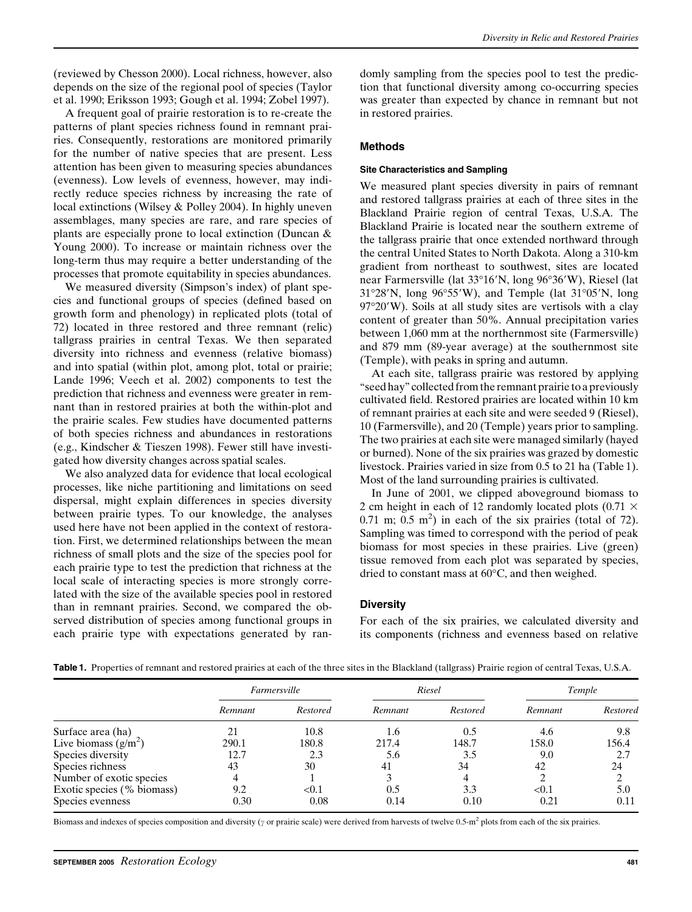(reviewed by Chesson 2000). Local richness, however, also depends on the size of the regional pool of species (Taylor et al. 1990; Eriksson 1993; Gough et al. 1994; Zobel 1997).

A frequent goal of prairie restoration is to re-create the patterns of plant species richness found in remnant prairies. Consequently, restorations are monitored primarily for the number of native species that are present. Less attention has been given to measuring species abundances (evenness). Low levels of evenness, however, may indirectly reduce species richness by increasing the rate of local extinctions (Wilsey & Polley 2004). In highly uneven assemblages, many species are rare, and rare species of plants are especially prone to local extinction (Duncan & Young 2000). To increase or maintain richness over the long-term thus may require a better understanding of the processes that promote equitability in species abundances.

We measured diversity (Simpson's index) of plant species and functional groups of species (defined based on growth form and phenology) in replicated plots (total of 72) located in three restored and three remnant (relic) tallgrass prairies in central Texas. We then separated diversity into richness and evenness (relative biomass) and into spatial (within plot, among plot, total or prairie; Lande 1996; Veech et al. 2002) components to test the prediction that richness and evenness were greater in remnant than in restored prairies at both the within-plot and the prairie scales. Few studies have documented patterns of both species richness and abundances in restorations (e.g., Kindscher & Tieszen 1998). Fewer still have investigated how diversity changes across spatial scales.

We also analyzed data for evidence that local ecological processes, like niche partitioning and limitations on seed dispersal, might explain differences in species diversity between prairie types. To our knowledge, the analyses used here have not been applied in the context of restoration. First, we determined relationships between the mean richness of small plots and the size of the species pool for each prairie type to test the prediction that richness at the local scale of interacting species is more strongly correlated with the size of the available species pool in restored than in remnant prairies. Second, we compared the observed distribution of species among functional groups in each prairie type with expectations generated by randomly sampling from the species pool to test the prediction that functional diversity among co-occurring species was greater than expected by chance in remnant but not in restored prairies.

## Methods

#### Site Characteristics and Sampling

We measured plant species diversity in pairs of remnant and restored tallgrass prairies at each of three sites in the Blackland Prairie region of central Texas, U.S.A. The Blackland Prairie is located near the southern extreme of the tallgrass prairie that once extended northward through the central United States to North Dakota. Along a 310-km gradient from northeast to southwest, sites are located near Farmersville (lat 33°16'N, long 96°36'W), Riesel (lat  $31^{\circ}28'$ N, long  $96^{\circ}55'$ W), and Temple (lat  $31^{\circ}05'$ N, long 97°20′W). Soils at all study sites are vertisols with a clay content of greater than 50%. Annual precipitation varies between 1,060 mm at the northernmost site (Farmersville) and 879 mm (89-year average) at the southernmost site (Temple), with peaks in spring and autumn.

At each site, tallgrass prairie was restored by applying ''seed hay'' collected from the remnant prairie to a previously cultivated field. Restored prairies are located within 10 km of remnant prairies at each site and were seeded 9 (Riesel), 10 (Farmersville), and 20 (Temple) years prior to sampling. The two prairies at each site were managed similarly (hayed or burned). None of the six prairies was grazed by domestic livestock. Prairies varied in size from 0.5 to 21 ha (Table 1). Most of the land surrounding prairies is cultivated.

In June of 2001, we clipped aboveground biomass to 2 cm height in each of 12 randomly located plots (0.71  $\times$ 0.71 m;  $0.5$  m<sup>2</sup>) in each of the six prairies (total of 72). Sampling was timed to correspond with the period of peak biomass for most species in these prairies. Live (green) tissue removed from each plot was separated by species, dried to constant mass at  $60^{\circ}$ C, and then weighed.

## **Diversity**

For each of the six prairies, we calculated diversity and its components (richness and evenness based on relative

|                            | Farmersville |                 | Riesel  |          | Temple  |          |
|----------------------------|--------------|-----------------|---------|----------|---------|----------|
|                            | Remnant      | <b>Restored</b> | Remnant | Restored | Remnant | Restored |
| Surface area (ha)          |              | 10.8            | 1.6     | 0.5      | 4.6     | 9.8      |
| Live biomass $(g/m^2)$     | 290.1        | 180.8           | 217.4   | 148.7    | 158.0   | 156.4    |
| Species diversity          | 12.7         | 2.3             | 5.6     | 3.5      | 9.0     | 2.7      |
| Species richness           | 43           | 30              | 41      | 34       | 42      | 24       |
| Number of exotic species   |              |                 |         | 4        |         |          |
| Exotic species (% biomass) | 9.2          | < 0.1           | 0.5     | 3.3      | < 0.1   | 5.0      |
| Species evenness           | 0.30         | 0.08            | 0.14    | 0.10     | 0.21    | 0.11     |

Table 1. Properties of remnant and restored prairies at each of the three sites in the Blackland (tallgrass) Prairie region of central Texas, U.S.A.

Biomass and indexes of species composition and diversity ( $\gamma$  or prairie scale) were derived from harvests of twelve 0.5-m<sup>2</sup> plots from each of the six prairies.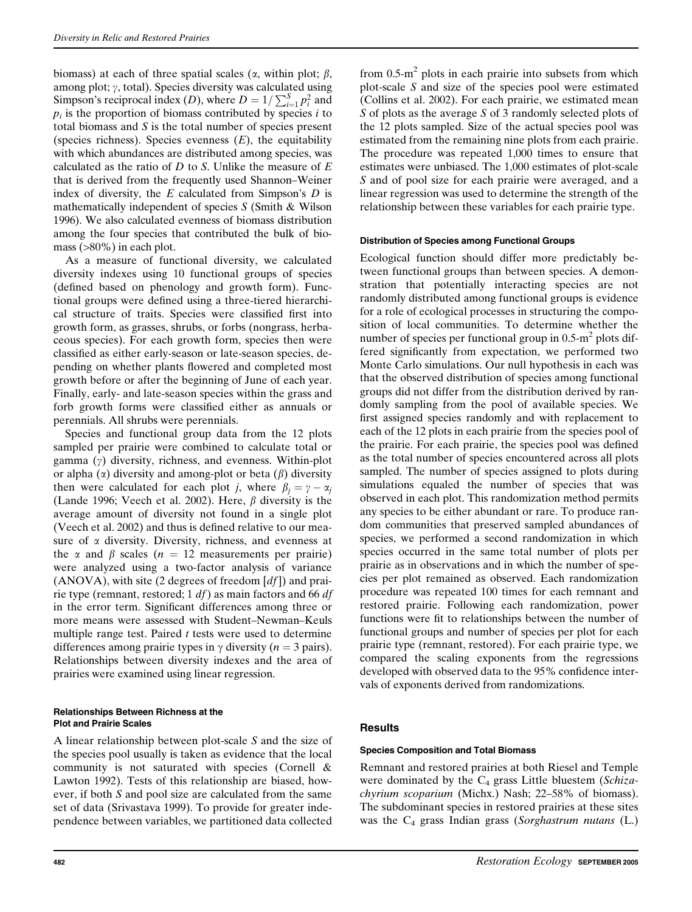biomass) at each of three spatial scales ( $\alpha$ , within plot;  $\beta$ , among plot;  $\gamma$ , total). Species diversity was calculated using Simpson's reciprocal index (*D*), where  $D = 1/\sum_{i=1}^{S} p_i^2$  and  $p_i$  is the proportion of biomass contributed by species  $i$  to total biomass and  $S$  is the total number of species present (species richness). Species evenness  $(E)$ , the equitability with which abundances are distributed among species, was calculated as the ratio of  $D$  to  $S$ . Unlike the measure of  $E$ that is derived from the frequently used Shannon–Weiner index of diversity, the  $E$  calculated from Simpson's  $D$  is mathematically independent of species S (Smith & Wilson 1996). We also calculated evenness of biomass distribution among the four species that contributed the bulk of biomass (>80%) in each plot.

As a measure of functional diversity, we calculated diversity indexes using 10 functional groups of species (defined based on phenology and growth form). Functional groups were defined using a three-tiered hierarchical structure of traits. Species were classified first into growth form, as grasses, shrubs, or forbs (nongrass, herbaceous species). For each growth form, species then were classified as either early-season or late-season species, depending on whether plants flowered and completed most growth before or after the beginning of June of each year. Finally, early- and late-season species within the grass and forb growth forms were classified either as annuals or perennials. All shrubs were perennials.

Species and functional group data from the 12 plots sampled per prairie were combined to calculate total or gamma  $(y)$  diversity, richness, and evenness. Within-plot or alpha  $(\alpha)$  diversity and among-plot or beta  $(\beta)$  diversity then were calculated for each plot j, where  $\beta_i = \gamma - \alpha_i$ (Lande 1996; Veech et al. 2002). Here,  $\beta$  diversity is the average amount of diversity not found in a single plot (Veech et al. 2002) and thus is defined relative to our measure of  $\alpha$  diversity. Diversity, richness, and evenness at the  $\alpha$  and  $\beta$  scales ( $n = 12$  measurements per prairie) were analyzed using a two-factor analysis of variance  $(ANOVA)$ , with site (2 degrees of freedom  $[df]$ ) and prairie type (remnant, restored; 1  $df$ ) as main factors and 66  $df$ in the error term. Significant differences among three or more means were assessed with Student–Newman–Keuls multiple range test. Paired  $t$  tests were used to determine differences among prairie types in  $\gamma$  diversity (*n* = 3 pairs). Relationships between diversity indexes and the area of prairies were examined using linear regression.

#### Relationships Between Richness at the Plot and Prairie Scales

A linear relationship between plot-scale S and the size of the species pool usually is taken as evidence that the local community is not saturated with species (Cornell & Lawton 1992). Tests of this relationship are biased, however, if both S and pool size are calculated from the same set of data (Srivastava 1999). To provide for greater independence between variables, we partitioned data collected from  $0.5 \text{ m}^2$  plots in each prairie into subsets from which plot-scale S and size of the species pool were estimated (Collins et al. 2002). For each prairie, we estimated mean S of plots as the average S of 3 randomly selected plots of the 12 plots sampled. Size of the actual species pool was estimated from the remaining nine plots from each prairie. The procedure was repeated 1,000 times to ensure that estimates were unbiased. The 1,000 estimates of plot-scale S and of pool size for each prairie were averaged, and a linear regression was used to determine the strength of the relationship between these variables for each prairie type.

## Distribution of Species among Functional Groups

Ecological function should differ more predictably between functional groups than between species. A demonstration that potentially interacting species are not randomly distributed among functional groups is evidence for a role of ecological processes in structuring the composition of local communities. To determine whether the number of species per functional group in  $0.5 \text{ m}^2$  plots differed significantly from expectation, we performed two Monte Carlo simulations. Our null hypothesis in each was that the observed distribution of species among functional groups did not differ from the distribution derived by randomly sampling from the pool of available species. We first assigned species randomly and with replacement to each of the 12 plots in each prairie from the species pool of the prairie. For each prairie, the species pool was defined as the total number of species encountered across all plots sampled. The number of species assigned to plots during simulations equaled the number of species that was observed in each plot. This randomization method permits any species to be either abundant or rare. To produce random communities that preserved sampled abundances of species, we performed a second randomization in which species occurred in the same total number of plots per prairie as in observations and in which the number of species per plot remained as observed. Each randomization procedure was repeated 100 times for each remnant and restored prairie. Following each randomization, power functions were fit to relationships between the number of functional groups and number of species per plot for each prairie type (remnant, restored). For each prairie type, we compared the scaling exponents from the regressions developed with observed data to the 95% confidence intervals of exponents derived from randomizations.

## **Results**

## Species Composition and Total Biomass

Remnant and restored prairies at both Riesel and Temple were dominated by the  $C_4$  grass Little bluestem (Schizachyrium scoparium (Michx.) Nash; 22–58% of biomass). The subdominant species in restored prairies at these sites was the  $C_4$  grass Indian grass (Sorghastrum nutans (L.)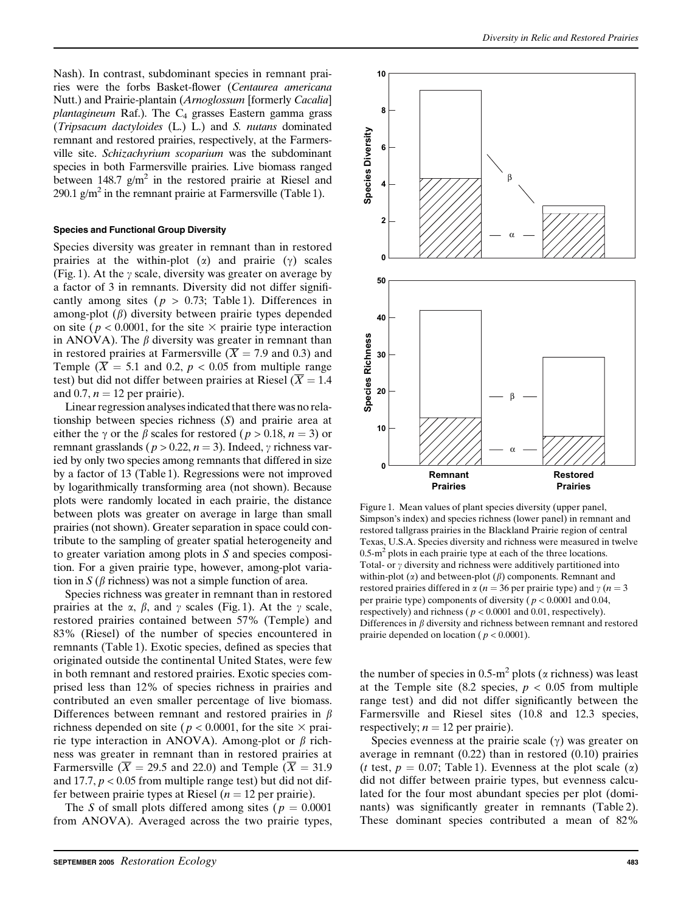Nash). In contrast, subdominant species in remnant prairies were the forbs Basket-flower (Centaurea americana Nutt.) and Prairie-plantain (Arnoglossum [formerly Cacalia] plantagineum Raf.). The  $C_4$  grasses Eastern gamma grass (Tripsacum dactyloides (L.) L.) and S. nutans dominated remnant and restored prairies, respectively, at the Farmersville site. Schizachyrium scoparium was the subdominant species in both Farmersville prairies. Live biomass ranged between 148.7  $g/m^2$  in the restored prairie at Riesel and 290.1  $g/m^2$  in the remnant prairie at Farmersville (Table 1).

#### Species and Functional Group Diversity

Species diversity was greater in remnant than in restored prairies at the within-plot  $(\alpha)$  and prairie  $(\gamma)$  scales (Fig. 1). At the  $\gamma$  scale, diversity was greater on average by a factor of 3 in remnants. Diversity did not differ significantly among sites ( $p > 0.73$ ; Table 1). Differences in among-plot  $(\beta)$  diversity between prairie types depended on site ( $p < 0.0001$ , for the site  $\times$  prairie type interaction in ANOVA). The  $\beta$  diversity was greater in remnant than in restored prairies at Farmersville ( $\overline{X}$  = 7.9 and 0.3) and Temple ( $\overline{X}$  = 5.1 and 0.2, p < 0.05 from multiple range test) but did not differ between prairies at Riesel ( $\overline{X} = 1.4$ ) and 0.7,  $n = 12$  per prairie).

Linear regression analyses indicated that there was no relationship between species richness (S) and prairie area at either the  $\gamma$  or the  $\beta$  scales for restored (  $p > 0.18$ ,  $n = 3$ ) or remnant grasslands ( $p > 0.22$ ,  $n = 3$ ). Indeed,  $\gamma$  richness varied by only two species among remnants that differed in size by a factor of 13 (Table 1). Regressions were not improved by logarithmically transforming area (not shown). Because plots were randomly located in each prairie, the distance between plots was greater on average in large than small prairies (not shown). Greater separation in space could contribute to the sampling of greater spatial heterogeneity and to greater variation among plots in S and species composition. For a given prairie type, however, among-plot variation in S ( $\beta$  richness) was not a simple function of area.

Species richness was greater in remnant than in restored prairies at the  $\alpha$ ,  $\beta$ , and  $\gamma$  scales (Fig. 1). At the  $\gamma$  scale, restored prairies contained between 57% (Temple) and 83% (Riesel) of the number of species encountered in remnants (Table 1). Exotic species, defined as species that originated outside the continental United States, were few in both remnant and restored prairies. Exotic species comprised less than 12% of species richness in prairies and contributed an even smaller percentage of live biomass. Differences between remnant and restored prairies in  $\beta$ richness depended on site ( $p < 0.0001$ , for the site  $\times$  prairie type interaction in ANOVA). Among-plot or  $\beta$  richness was greater in remnant than in restored prairies at Farmersville ( $\overline{X}$  = 29.5 and 22.0) and Temple ( $\overline{X}$  = 31.9 and 17.7,  $p < 0.05$  from multiple range test) but did not differ between prairie types at Riesel ( $n = 12$  per prairie).

The S of small plots differed among sites ( $p = 0.0001$ ) from ANOVA). Averaged across the two prairie types,



Figure 1. Mean values of plant species diversity (upper panel, Simpson's index) and species richness (lower panel) in remnant and restored tallgrass prairies in the Blackland Prairie region of central Texas, U.S.A. Species diversity and richness were measured in twelve  $0.5\text{-m}^2$  plots in each prairie type at each of the three locations. Total- or  $\gamma$  diversity and richness were additively partitioned into within-plot  $(\alpha)$  and between-plot  $(\beta)$  components. Remnant and restored prairies differed in  $\alpha$  (*n* = 36 per prairie type) and  $\gamma$  (*n* = 3 per prairie type) components of diversity ( $p < 0.0001$  and 0.04, respectively) and richness ( $p < 0.0001$  and 0.01, respectively). Differences in  $\beta$  diversity and richness between remnant and restored prairie depended on location ( $p < 0.0001$ ).

the number of species in 0.5-m<sup>2</sup> plots ( $\alpha$  richness) was least at the Temple site (8.2 species,  $p < 0.05$  from multiple range test) and did not differ significantly between the Farmersville and Riesel sites (10.8 and 12.3 species, respectively;  $n = 12$  per prairie).

Species evenness at the prairie scale  $(\gamma)$  was greater on average in remnant (0.22) than in restored (0.10) prairies (*t* test,  $p = 0.07$ ; Table 1). Evenness at the plot scale ( $\alpha$ ) did not differ between prairie types, but evenness calculated for the four most abundant species per plot (dominants) was significantly greater in remnants (Table 2). These dominant species contributed a mean of 82%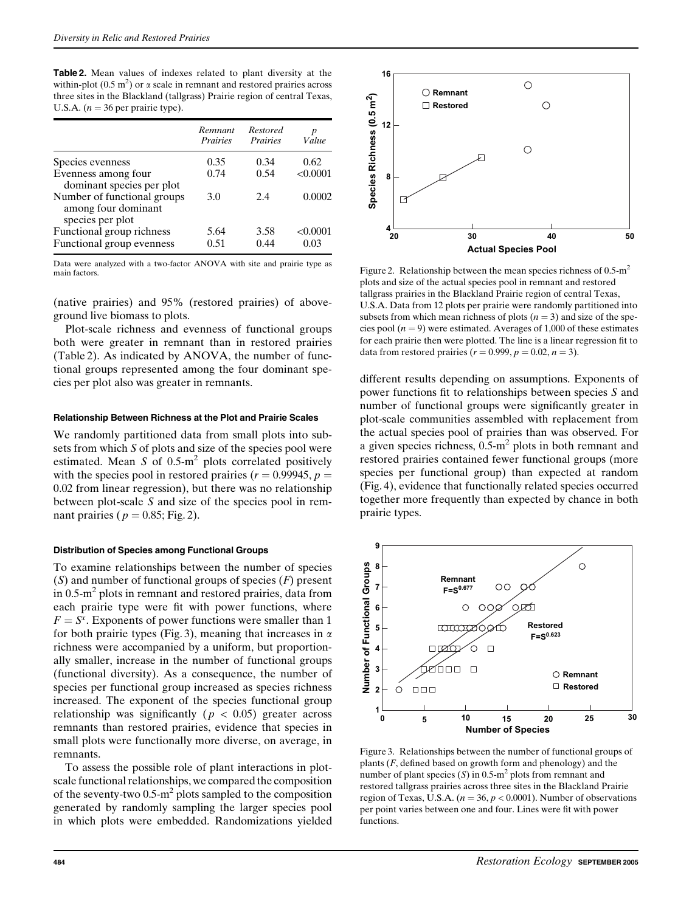Table 2. Mean values of indexes related to plant diversity at the within-plot ( $0.5 \text{ m}^2$ ) or  $\alpha$  scale in remnant and restored prairies across three sites in the Blackland (tallgrass) Prairie region of central Texas, U.S.A. ( $n = 36$  per prairie type).

|                                                                        | Remnant<br><i>Prairies</i> | Restored<br><i>Prairies</i> | Value            |
|------------------------------------------------------------------------|----------------------------|-----------------------------|------------------|
| Species evenness                                                       | 0.35                       | 0.34                        | 0.62             |
| Evenness among four<br>dominant species per plot                       | 0.74                       | 0.54                        | < 0.0001         |
| Number of functional groups<br>among four dominant<br>species per plot | 3.0                        | 2.4                         | 0.0002           |
| Functional group richness<br>Functional group evenness                 | 5.64<br>0.51               | 3.58<br>0.44                | < 0.0001<br>0.03 |

Data were analyzed with a two-factor ANOVA with site and prairie type as main factors.

(native prairies) and 95% (restored prairies) of aboveground live biomass to plots.

Plot-scale richness and evenness of functional groups both were greater in remnant than in restored prairies (Table 2). As indicated by ANOVA, the number of functional groups represented among the four dominant species per plot also was greater in remnants.

#### Relationship Between Richness at the Plot and Prairie Scales

We randomly partitioned data from small plots into subsets from which S of plots and size of the species pool were estimated. Mean S of  $0.5 \text{--} m^2$  plots correlated positively with the species pool in restored prairies ( $r = 0.99945$ ,  $p =$ 0.02 from linear regression), but there was no relationship between plot-scale S and size of the species pool in remnant prairies ( $p = 0.85$ ; Fig. 2).

## Distribution of Species among Functional Groups

To examine relationships between the number of species  $(S)$  and number of functional groups of species  $(F)$  present in  $0.5 \text{-} m^2$  plots in remnant and restored prairies, data from each prairie type were fit with power functions, where  $F = S<sup>x</sup>$ . Exponents of power functions were smaller than 1 for both prairie types (Fig. 3), meaning that increases in  $\alpha$ richness were accompanied by a uniform, but proportionally smaller, increase in the number of functional groups (functional diversity). As a consequence, the number of species per functional group increased as species richness increased. The exponent of the species functional group relationship was significantly ( $p < 0.05$ ) greater across remnants than restored prairies, evidence that species in small plots were functionally more diverse, on average, in remnants.

To assess the possible role of plant interactions in plotscale functional relationships, we compared the composition of the seventy-two  $0.5 \text{·m}^2$  plots sampled to the composition generated by randomly sampling the larger species pool in which plots were embedded. Randomizations yielded



Figure 2. Relationship between the mean species richness of  $0.5 \text{ m}^2$ plots and size of the actual species pool in remnant and restored tallgrass prairies in the Blackland Prairie region of central Texas, U.S.A. Data from 12 plots per prairie were randomly partitioned into subsets from which mean richness of plots  $(n = 3)$  and size of the species pool  $(n = 9)$  were estimated. Averages of 1,000 of these estimates for each prairie then were plotted. The line is a linear regression fit to data from restored prairies ( $r = 0.999$ ,  $p = 0.02$ ,  $n = 3$ ).

different results depending on assumptions. Exponents of power functions fit to relationships between species S and number of functional groups were significantly greater in plot-scale communities assembled with replacement from the actual species pool of prairies than was observed. For a given species richness,  $0.5\text{-m}^2$  plots in both remnant and restored prairies contained fewer functional groups (more species per functional group) than expected at random (Fig. 4), evidence that functionally related species occurred together more frequently than expected by chance in both prairie types.



Figure 3. Relationships between the number of functional groups of plants  $(F, \text{defined based on growth form and phenotype})$  and the number of plant species  $(S)$  in 0.5-m<sup>2</sup> plots from remnant and restored tallgrass prairies across three sites in the Blackland Prairie region of Texas, U.S.A. ( $n = 36$ ,  $p < 0.0001$ ). Number of observations per point varies between one and four. Lines were fit with power functions.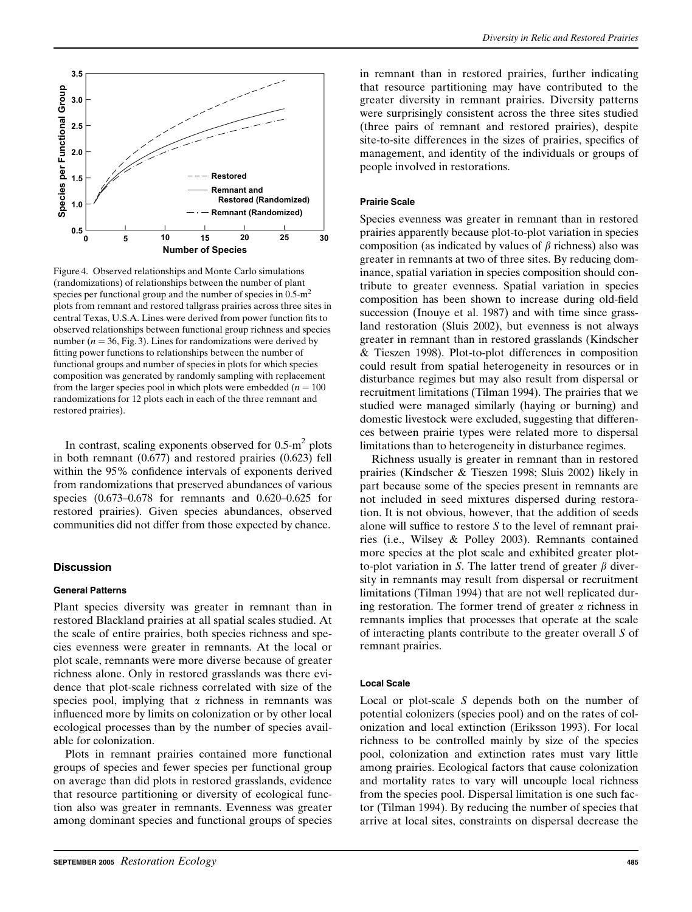

Figure 4. Observed relationships and Monte Carlo simulations (randomizations) of relationships between the number of plant species per functional group and the number of species in  $0.5 \text{m}^2$ plots from remnant and restored tallgrass prairies across three sites in central Texas, U.S.A. Lines were derived from power function fits to observed relationships between functional group richness and species number ( $n = 36$ , Fig. 3). Lines for randomizations were derived by fitting power functions to relationships between the number of functional groups and number of species in plots for which species composition was generated by randomly sampling with replacement from the larger species pool in which plots were embedded ( $n = 100$ ) randomizations for 12 plots each in each of the three remnant and restored prairies).

In contrast, scaling exponents observed for  $0.5 \text{--} m^2$  plots in both remnant (0.677) and restored prairies (0.623) fell within the 95% confidence intervals of exponents derived from randomizations that preserved abundances of various species (0.673–0.678 for remnants and 0.620–0.625 for restored prairies). Given species abundances, observed communities did not differ from those expected by chance.

## **Discussion**

## General Patterns

Plant species diversity was greater in remnant than in restored Blackland prairies at all spatial scales studied. At the scale of entire prairies, both species richness and species evenness were greater in remnants. At the local or plot scale, remnants were more diverse because of greater richness alone. Only in restored grasslands was there evidence that plot-scale richness correlated with size of the species pool, implying that  $\alpha$  richness in remnants was influenced more by limits on colonization or by other local ecological processes than by the number of species available for colonization.

Plots in remnant prairies contained more functional groups of species and fewer species per functional group on average than did plots in restored grasslands, evidence that resource partitioning or diversity of ecological function also was greater in remnants. Evenness was greater among dominant species and functional groups of species

in remnant than in restored prairies, further indicating that resource partitioning may have contributed to the greater diversity in remnant prairies. Diversity patterns were surprisingly consistent across the three sites studied (three pairs of remnant and restored prairies), despite site-to-site differences in the sizes of prairies, specifics of management, and identity of the individuals or groups of people involved in restorations.

#### Prairie Scale

Species evenness was greater in remnant than in restored prairies apparently because plot-to-plot variation in species composition (as indicated by values of  $\beta$  richness) also was greater in remnants at two of three sites. By reducing dominance, spatial variation in species composition should contribute to greater evenness. Spatial variation in species composition has been shown to increase during old-field succession (Inouye et al. 1987) and with time since grassland restoration (Sluis 2002), but evenness is not always greater in remnant than in restored grasslands (Kindscher & Tieszen 1998). Plot-to-plot differences in composition could result from spatial heterogeneity in resources or in disturbance regimes but may also result from dispersal or recruitment limitations (Tilman 1994). The prairies that we studied were managed similarly (haying or burning) and domestic livestock were excluded, suggesting that differences between prairie types were related more to dispersal limitations than to heterogeneity in disturbance regimes.

Richness usually is greater in remnant than in restored prairies (Kindscher & Tieszen 1998; Sluis 2002) likely in part because some of the species present in remnants are not included in seed mixtures dispersed during restoration. It is not obvious, however, that the addition of seeds alone will suffice to restore S to the level of remnant prairies (i.e., Wilsey & Polley 2003). Remnants contained more species at the plot scale and exhibited greater plotto-plot variation in S. The latter trend of greater  $\beta$  diversity in remnants may result from dispersal or recruitment limitations (Tilman 1994) that are not well replicated during restoration. The former trend of greater  $\alpha$  richness in remnants implies that processes that operate at the scale of interacting plants contribute to the greater overall S of remnant prairies.

#### Local Scale

Local or plot-scale S depends both on the number of potential colonizers (species pool) and on the rates of colonization and local extinction (Eriksson 1993). For local richness to be controlled mainly by size of the species pool, colonization and extinction rates must vary little among prairies. Ecological factors that cause colonization and mortality rates to vary will uncouple local richness from the species pool. Dispersal limitation is one such factor (Tilman 1994). By reducing the number of species that arrive at local sites, constraints on dispersal decrease the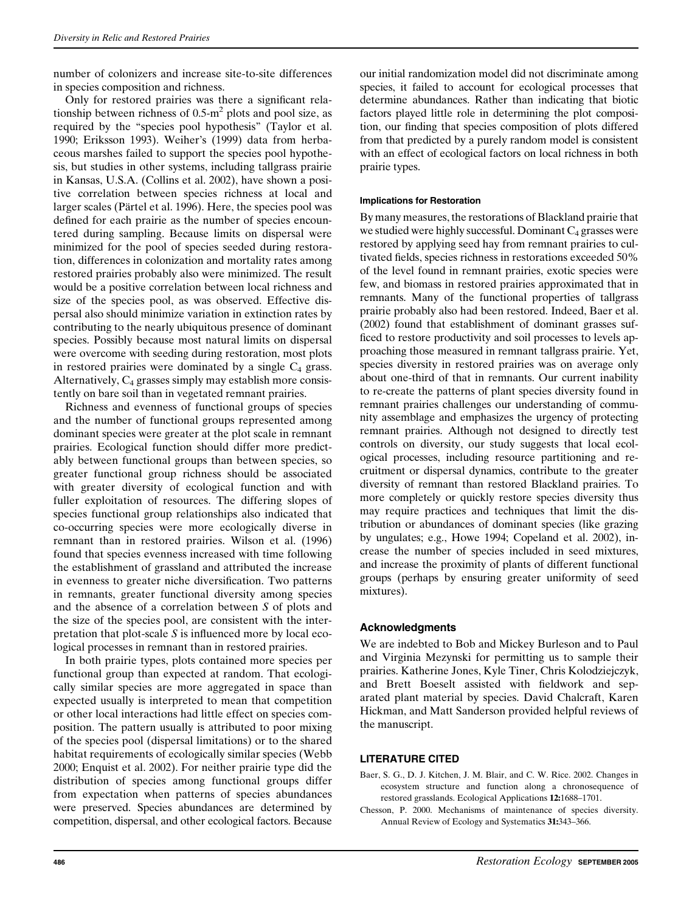number of colonizers and increase site-to-site differences in species composition and richness.

Only for restored prairies was there a significant relationship between richness of  $0.5 \text{ m}^2$  plots and pool size, as required by the ''species pool hypothesis'' (Taylor et al. 1990; Eriksson 1993). Weiher's (1999) data from herbaceous marshes failed to support the species pool hypothesis, but studies in other systems, including tallgrass prairie in Kansas, U.S.A. (Collins et al. 2002), have shown a positive correlation between species richness at local and larger scales (Pärtel et al. 1996). Here, the species pool was defined for each prairie as the number of species encountered during sampling. Because limits on dispersal were minimized for the pool of species seeded during restoration, differences in colonization and mortality rates among restored prairies probably also were minimized. The result would be a positive correlation between local richness and size of the species pool, as was observed. Effective dispersal also should minimize variation in extinction rates by contributing to the nearly ubiquitous presence of dominant species. Possibly because most natural limits on dispersal were overcome with seeding during restoration, most plots in restored prairies were dominated by a single  $C_4$  grass. Alternatively,  $C_4$  grasses simply may establish more consistently on bare soil than in vegetated remnant prairies.

Richness and evenness of functional groups of species and the number of functional groups represented among dominant species were greater at the plot scale in remnant prairies. Ecological function should differ more predictably between functional groups than between species, so greater functional group richness should be associated with greater diversity of ecological function and with fuller exploitation of resources. The differing slopes of species functional group relationships also indicated that co-occurring species were more ecologically diverse in remnant than in restored prairies. Wilson et al. (1996) found that species evenness increased with time following the establishment of grassland and attributed the increase in evenness to greater niche diversification. Two patterns in remnants, greater functional diversity among species and the absence of a correlation between S of plots and the size of the species pool, are consistent with the interpretation that plot-scale  $S$  is influenced more by local ecological processes in remnant than in restored prairies.

In both prairie types, plots contained more species per functional group than expected at random. That ecologically similar species are more aggregated in space than expected usually is interpreted to mean that competition or other local interactions had little effect on species composition. The pattern usually is attributed to poor mixing of the species pool (dispersal limitations) or to the shared habitat requirements of ecologically similar species (Webb 2000; Enquist et al. 2002). For neither prairie type did the distribution of species among functional groups differ from expectation when patterns of species abundances were preserved. Species abundances are determined by competition, dispersal, and other ecological factors. Because

our initial randomization model did not discriminate among species, it failed to account for ecological processes that determine abundances. Rather than indicating that biotic factors played little role in determining the plot composition, our finding that species composition of plots differed from that predicted by a purely random model is consistent with an effect of ecological factors on local richness in both prairie types.

## Implications for Restoration

By many measures, the restorations of Blackland prairie that we studied were highly successful. Dominant  $C_4$  grasses were restored by applying seed hay from remnant prairies to cultivated fields, species richness in restorations exceeded 50% of the level found in remnant prairies, exotic species were few, and biomass in restored prairies approximated that in remnants. Many of the functional properties of tallgrass prairie probably also had been restored. Indeed, Baer et al. (2002) found that establishment of dominant grasses sufficed to restore productivity and soil processes to levels approaching those measured in remnant tallgrass prairie. Yet, species diversity in restored prairies was on average only about one-third of that in remnants. Our current inability to re-create the patterns of plant species diversity found in remnant prairies challenges our understanding of community assemblage and emphasizes the urgency of protecting remnant prairies. Although not designed to directly test controls on diversity, our study suggests that local ecological processes, including resource partitioning and recruitment or dispersal dynamics, contribute to the greater diversity of remnant than restored Blackland prairies. To more completely or quickly restore species diversity thus may require practices and techniques that limit the distribution or abundances of dominant species (like grazing by ungulates; e.g., Howe 1994; Copeland et al. 2002), increase the number of species included in seed mixtures, and increase the proximity of plants of different functional groups (perhaps by ensuring greater uniformity of seed mixtures).

## Acknowledgments

We are indebted to Bob and Mickey Burleson and to Paul and Virginia Mezynski for permitting us to sample their prairies. Katherine Jones, Kyle Tiner, Chris Kolodziejczyk, and Brett Boeselt assisted with fieldwork and separated plant material by species. David Chalcraft, Karen Hickman, and Matt Sanderson provided helpful reviews of the manuscript.

## LITERATURE CITED

- Baer, S. G., D. J. Kitchen, J. M. Blair, and C. W. Rice. 2002. Changes in ecosystem structure and function along a chronosequence of restored grasslands. Ecological Applications 12:1688–1701.
- Chesson, P. 2000. Mechanisms of maintenance of species diversity. Annual Review of Ecology and Systematics 31:343–366.